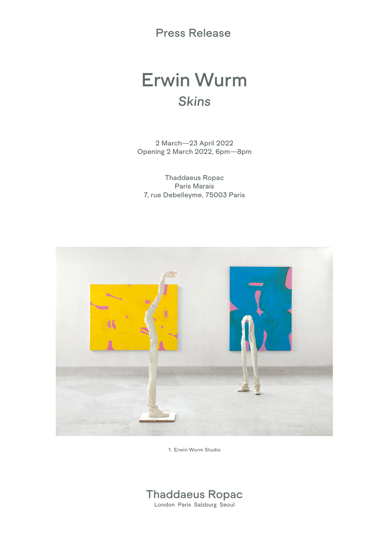Press Release

# Erwin Wurm *Skins*

2 March—23 April 2022 Opening 2 March 2022, 6pm—8pm

Thaddaeus Ropac Paris Marais 7, rue Debelleyme, 75003 Paris



1. Erwin Wurm Studio

## Thaddaeus Ropac

London Paris Salzburg Seoul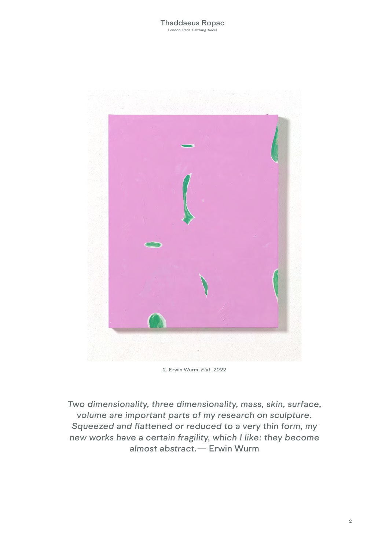#### London Paris Salzburg Seoul Thaddaeus Ropac



2. Erwin Wurm, *Flat, 2022*

*Two dimensionality, three dimensionality, mass, skin, surface, volume are important parts of my research on sculpture. Squeezed and flattened or reduced to a very thin form, my new works have a certain fragility, which I like: they become almost abstract.*— Erwin Wurm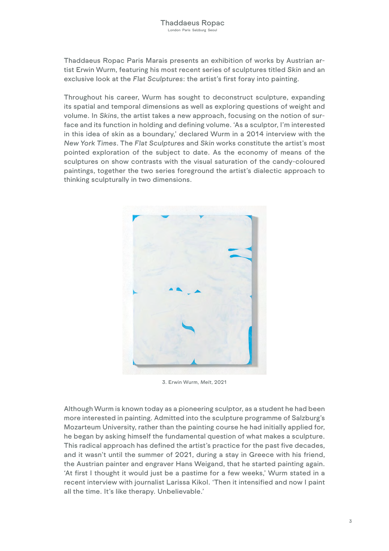Thaddaeus Ropac Paris Marais presents an exhibition of works by Austrian artist Erwin Wurm, featuring his most recent series of sculptures titled *Skin* and an exclusive look at the *Flat Sculptures*: the artist's first foray into painting.

Throughout his career, Wurm has sought to deconstruct sculpture, expanding its spatial and temporal dimensions as well as exploring questions of weight and volume. In *Skins*, the artist takes a new approach, focusing on the notion of surface and its function in holding and defining volume. 'As a sculptor, I'm interested in this idea of skin as a boundary,' declared Wurm in a 2014 interview with the *New York Times*. The *Flat Sculptures* and *Skin* works constitute the artist's most pointed exploration of the subject to date. As the economy of means of the sculptures on show contrasts with the visual saturation of the candy-coloured paintings, together the two series foreground the artist's dialectic approach to thinking sculpturally in two dimensions.



3. Erwin Wurm, *Melt*, 2021

Although Wurm is known today as a pioneering sculptor, as a student he had been more interested in painting. Admitted into the sculpture programme of Salzburg's Mozarteum University, rather than the painting course he had initially applied for, he began by asking himself the fundamental question of what makes a sculpture. This radical approach has defined the artist's practice for the past five decades, and it wasn't until the summer of 2021, during a stay in Greece with his friend, the Austrian painter and engraver Hans Weigand, that he started painting again. 'At first I thought it would just be a pastime for a few weeks,' Wurm stated in a recent interview with journalist Larissa Kikol. 'Then it intensified and now I paint all the time. It's like therapy. Unbelievable.'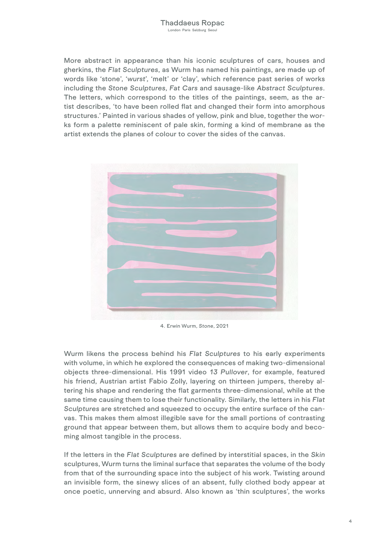More abstract in appearance than his iconic sculptures of cars, houses and gherkins, the *Flat Sculptures*, as Wurm has named his paintings, are made up of words like 'stone', '*wurst*', 'melt' or 'clay', which reference past series of works including the *Stone Sculptures*, *Fat Cars* and sausage-like *Abstract Sculptures*. The letters, which correspond to the titles of the paintings, seem, as the artist describes, 'to have been rolled flat and changed their form into amorphous structures.' Painted in various shades of yellow, pink and blue, together the works form a palette reminiscent of pale skin, forming a kind of membrane as the artist extends the planes of colour to cover the sides of the canvas.



4. Erwin Wurm, *Stone*, 2021

Wurm likens the process behind his *Flat Sculptures* to his early experiments with volume, in which he explored the consequences of making two-dimensional objects three-dimensional. His 1991 video *13 Pullover*, for example, featured his friend, Austrian artist Fabio Zolly, layering on thirteen jumpers, thereby altering his shape and rendering the flat garments three-dimensional, while at the same time causing them to lose their functionality. Similarly, the letters in his *Flat Sculptures* are stretched and squeezed to occupy the entire surface of the canvas. This makes them almost illegible save for the small portions of contrasting ground that appear between them, but allows them to acquire body and becoming almost tangible in the process.

If the letters in the *Flat Sculptures* are defined by interstitial spaces, in the *Skin*  sculptures, Wurm turns the liminal surface that separates the volume of the body from that of the surrounding space into the subject of his work. Twisting around an invisible form, the sinewy slices of an absent, fully clothed body appear at once poetic, unnerving and absurd. Also known as 'thin sculptures', the works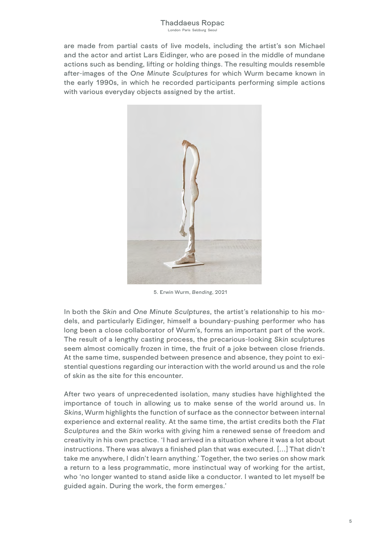are made from partial casts of live models, including the artist's son Michael and the actor and artist Lars Eidinger, who are posed in the middle of mundane actions such as bending, lifting or holding things. The resulting moulds resemble after-images of the *One Minute Sculptures* for which Wurm became known in the early 1990s, in which he recorded participants performing simple actions with various everyday objects assigned by the artist.



5. Erwin Wurm, *Bending*, 2021

In both the *Skin* and *One Minute Sculptures*, the artist's relationship to his models, and particularly Eidinger, himself a boundary-pushing performer who has long been a close collaborator of Wurm's, forms an important part of the work. The result of a lengthy casting process, the precarious-looking *Skin* sculptures seem almost comically frozen in time, the fruit of a joke between close friends. At the same time, suspended between presence and absence, they point to existential questions regarding our interaction with the world around us and the role of skin as the site for this encounter.

After two years of unprecedented isolation, many studies have highlighted the importance of touch in allowing us to make sense of the world around us. In *Skins*, Wurm highlights the function of surface as the connector between internal experience and external reality. At the same time, the artist credits both the *Flat Sculptures* and the *Skin* works with giving him a renewed sense of freedom and creativity in his own practice. 'I had arrived in a situation where it was a lot about instructions. There was always a finished plan that was executed. [...] That didn't take me anywhere, I didn't learn anything.' Together, the two series on show mark a return to a less programmatic, more instinctual way of working for the artist, who 'no longer wanted to stand aside like a conductor. I wanted to let myself be guided again. During the work, the form emerges.'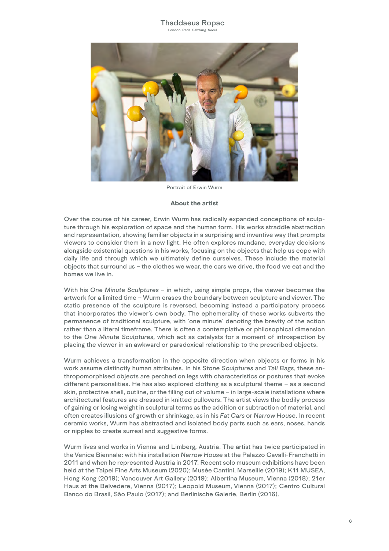### Thaddaeus Ropac

London Paris Salzburg Seoul



Portrait of Erwin Wurm

#### About the artist

Over the course of his career, Erwin Wurm has radically expanded conceptions of sculpture through his exploration of space and the human form. His works straddle abstraction and representation, showing familiar objects in a surprising and inventive way that prompts viewers to consider them in a new light. He often explores mundane, everyday decisions alongside existential questions in his works, focusing on the objects that help us cope with daily life and through which we ultimately define ourselves. These include the material objects that surround us – the clothes we wear, the cars we drive, the food we eat and the homes we live in.

With his *One Minute Sculptures* – in which, using simple props, the viewer becomes the artwork for a limited time – Wurm erases the boundary between sculpture and viewer. The static presence of the sculpture is reversed, becoming instead a participatory process that incorporates the viewer's own body. The ephemerality of these works subverts the permanence of traditional sculpture, with 'one minute' denoting the brevity of the action rather than a literal timeframe. There is often a contemplative or philosophical dimension to the *One Minute Sculptures*, which act as catalysts for a moment of introspection by placing the viewer in an awkward or paradoxical relationship to the prescribed objects.

Wurm achieves a transformation in the opposite direction when objects or forms in his work assume distinctly human attributes. In his *Stone Sculptures* and *Tall Bags*, these anthropomorphised objects are perched on legs with characteristics or postures that evoke different personalities. He has also explored clothing as a sculptural theme – as a second skin, protective shell, outline, or the filling out of volume – in large-scale installations where architectural features are dressed in knitted pullovers. The artist views the bodily process of gaining or losing weight in sculptural terms as the addition or subtraction of material, and often creates illusions of growth or shrinkage, as in his *Fat Cars* or *Narrow House*. In recent ceramic works, Wurm has abstracted and isolated body parts such as ears, noses, hands or nipples to create surreal and suggestive forms.

Wurm lives and works in Vienna and Limberg, Austria. The artist has twice participated in the Venice Biennale: with his installation *Narrow House* at the Palazzo Cavalli-Franchetti in 2011 and when he represented Austria in 2017. Recent solo museum exhibitions have been held at the Taipei Fine Arts Museum (2020); Musée Cantini, Marseille (2019); K11 MUSEA, Hong Kong (2019); Vancouver Art Gallery (2019); Albertina Museum, Vienna (2018); 21er Haus at the Belvedere, Vienna (2017); Leopold Museum, Vienna (2017); Centro Cultural Banco do Brasil, São Paulo (2017); and Berlinische Galerie, Berlin (2016).